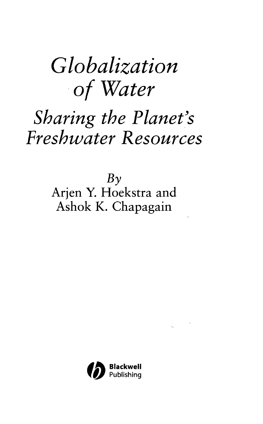## *Globalization of Water*

## *Sharing the Planet's Freshwater Resources*

 $Bv$ Arjen Y. Hoekstra and Ashok K. Chapagain

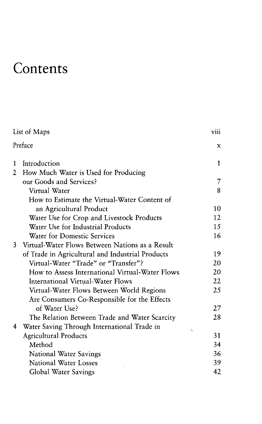## **Contents**

|         | List of Maps                                     | <b>V111</b> |
|---------|--------------------------------------------------|-------------|
| Preface |                                                  | x           |
| 1       | Introduction                                     | 1           |
| 2       | How Much Water is Used for Producing             |             |
|         | our Goods and Services?                          | 7           |
|         | Virtual Water                                    | 8           |
|         | How to Estimate the Virtual-Water Content of     |             |
|         | an Agricultural Product                          | 10          |
|         | Water Use for Crop and Livestock Products        | 12          |
|         | Water Use for Industrial Products                | 15          |
|         | <b>Water for Domestic Services</b>               | 16          |
| 3       | Virtual-Water Flows Between Nations as a Result  |             |
|         | of Trade in Agricultural and Industrial Products | 19          |
|         | Virtual-Water "Trade" or "Transfer"?             | 20          |
|         | How to Assess International Virtual-Water Flows  | 20          |
|         | <b>International Virtual-Water Flows</b>         | 22          |
|         | Virtual-Water Flows Between World Regions        | 25          |
|         | Are Consumers Co-Responsible for the Effects     |             |
|         | of Water Use?                                    | 27          |
|         | The Relation Between Trade and Water Scarcity    | 28          |
| 4       | Water Saving Through International Trade in      | J.          |
|         | <b>Agricultural Products</b>                     | 31          |
|         | Method                                           | 34          |
|         | National Water Savings                           | 36          |
|         | <b>National Water Losses</b>                     | 39          |
|         | Global Water Savings                             | 42          |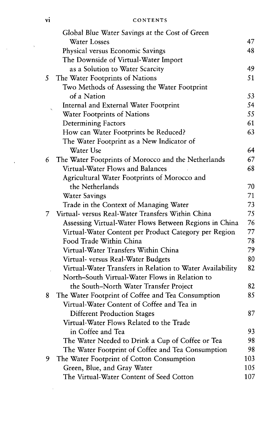vi CONTENTS

|    | Global Blue Water Savings at the Cost of Green            |     |
|----|-----------------------------------------------------------|-----|
|    | <b>Water Losses</b>                                       | 47  |
|    | Physical versus Economic Savings                          | 48  |
|    | The Downside of Virtual-Water Import                      |     |
|    | as a Solution to Water Scarcity                           | 49  |
| 5  | The Water Footprints of Nations                           | 51  |
|    | Two Methods of Assessing the Water Footprint              |     |
|    | of a Nation                                               | 53  |
|    | Internal and External Water Footprint                     | 54  |
|    | Water Footprints of Nations                               | 55  |
|    | <b>Determining Factors</b>                                | 61  |
|    | How can Water Footprints be Reduced?                      | 63  |
|    | The Water Footprint as a New Indicator of                 |     |
|    | Water Use                                                 | 64  |
| 6  | The Water Footprints of Morocco and the Netherlands       | 67  |
|    | Virtual-Water Flows and Balances                          | 68  |
|    | Agricultural Water Footprints of Morocco and              |     |
|    | the Netherlands                                           | 70  |
|    | <b>Water Savings</b>                                      | 71  |
|    | Trade in the Context of Managing Water                    | 73  |
| 7. | Virtual- versus Real-Water Transfers Within China         | 75  |
|    | Assessing Virtual-Water Flows Between Regions in China    | 76  |
|    | Virtual-Water Content per Product Category per Region     | 77  |
|    | Food Trade Within China                                   | 78  |
|    | Virtual-Water Transfers Within China                      | 79  |
|    | Virtual- versus Real-Water Budgets                        | 80  |
|    | Virtual-Water Transfers in Relation to Water Availability | 82  |
|    | North-South Virtual-Water Flows in Relation to            |     |
|    | the South-North Water Transfer Project                    | 82  |
| 8  | The Water Footprint of Coffee and Tea Consumption         | 85  |
|    | Virtual-Water Content of Coffee and Tea in                |     |
|    | <b>Different Production Stages</b>                        | 87  |
|    | Virtual-Water Flows Related to the Trade                  |     |
|    | in Coffee and Tea                                         | 93  |
|    | The Water Needed to Drink a Cup of Coffee or Tea          | 98  |
|    | The Water Footprint of Coffee and Tea Consumption         | 98  |
| 9  | The Water Footprint of Cotton Consumption                 | 103 |
|    | Green, Blue, and Gray Water                               | 105 |
|    | The Virtual-Water Content of Seed Cotton                  | 107 |

 $\ddot{\phantom{a}}$ 

 $\bar{\chi}$ 

 $\overline{\phantom{a}}$ 

 $\hat{\mathbf{r}}$